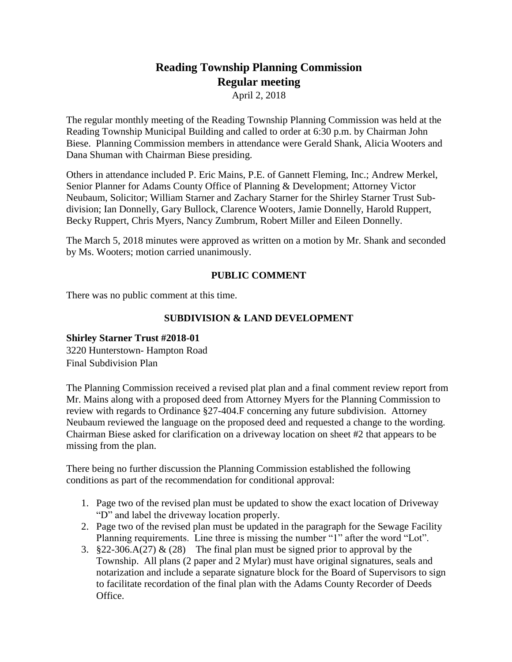# **Reading Township Planning Commission Regular meeting**

April 2, 2018

The regular monthly meeting of the Reading Township Planning Commission was held at the Reading Township Municipal Building and called to order at 6:30 p.m. by Chairman John Biese. Planning Commission members in attendance were Gerald Shank, Alicia Wooters and Dana Shuman with Chairman Biese presiding.

Others in attendance included P. Eric Mains, P.E. of Gannett Fleming, Inc.; Andrew Merkel, Senior Planner for Adams County Office of Planning & Development; Attorney Victor Neubaum, Solicitor; William Starner and Zachary Starner for the Shirley Starner Trust Subdivision; Ian Donnelly, Gary Bullock, Clarence Wooters, Jamie Donnelly, Harold Ruppert, Becky Ruppert, Chris Myers, Nancy Zumbrum, Robert Miller and Eileen Donnelly.

The March 5, 2018 minutes were approved as written on a motion by Mr. Shank and seconded by Ms. Wooters; motion carried unanimously.

# **PUBLIC COMMENT**

There was no public comment at this time.

# **SUBDIVISION & LAND DEVELOPMENT**

## **Shirley Starner Trust #2018-01**

3220 Hunterstown- Hampton Road Final Subdivision Plan

The Planning Commission received a revised plat plan and a final comment review report from Mr. Mains along with a proposed deed from Attorney Myers for the Planning Commission to review with regards to Ordinance §27-404.F concerning any future subdivision. Attorney Neubaum reviewed the language on the proposed deed and requested a change to the wording. Chairman Biese asked for clarification on a driveway location on sheet #2 that appears to be missing from the plan.

There being no further discussion the Planning Commission established the following conditions as part of the recommendation for conditional approval:

- 1. Page two of the revised plan must be updated to show the exact location of Driveway "D" and label the driveway location properly.
- 2. Page two of the revised plan must be updated in the paragraph for the Sewage Facility Planning requirements. Line three is missing the number "1" after the word "Lot".
- 3.  $\S 22-306.A(27) \& (28)$  The final plan must be signed prior to approval by the Township. All plans (2 paper and 2 Mylar) must have original signatures, seals and notarization and include a separate signature block for the Board of Supervisors to sign to facilitate recordation of the final plan with the Adams County Recorder of Deeds Office.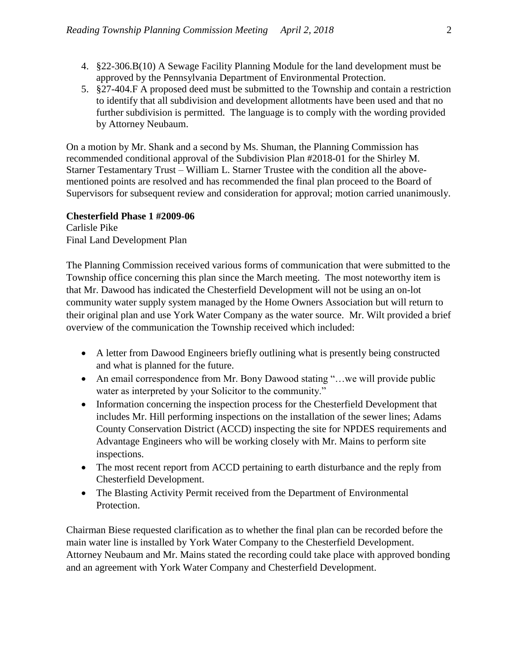- 4. §22-306.B(10) A Sewage Facility Planning Module for the land development must be approved by the Pennsylvania Department of Environmental Protection.
- 5. §27-404.F A proposed deed must be submitted to the Township and contain a restriction to identify that all subdivision and development allotments have been used and that no further subdivision is permitted. The language is to comply with the wording provided by Attorney Neubaum.

On a motion by Mr. Shank and a second by Ms. Shuman, the Planning Commission has recommended conditional approval of the Subdivision Plan #2018-01 for the Shirley M. Starner Testamentary Trust – William L. Starner Trustee with the condition all the abovementioned points are resolved and has recommended the final plan proceed to the Board of Supervisors for subsequent review and consideration for approval; motion carried unanimously.

#### **Chesterfield Phase 1 #2009-06**

Carlisle Pike Final Land Development Plan

The Planning Commission received various forms of communication that were submitted to the Township office concerning this plan since the March meeting. The most noteworthy item is that Mr. Dawood has indicated the Chesterfield Development will not be using an on-lot community water supply system managed by the Home Owners Association but will return to their original plan and use York Water Company as the water source. Mr. Wilt provided a brief overview of the communication the Township received which included:

- A letter from Dawood Engineers briefly outlining what is presently being constructed and what is planned for the future.
- An email correspondence from Mr. Bony Dawood stating "...we will provide public water as interpreted by your Solicitor to the community."
- Information concerning the inspection process for the Chesterfield Development that includes Mr. Hill performing inspections on the installation of the sewer lines; Adams County Conservation District (ACCD) inspecting the site for NPDES requirements and Advantage Engineers who will be working closely with Mr. Mains to perform site inspections.
- The most recent report from ACCD pertaining to earth disturbance and the reply from Chesterfield Development.
- The Blasting Activity Permit received from the Department of Environmental Protection.

Chairman Biese requested clarification as to whether the final plan can be recorded before the main water line is installed by York Water Company to the Chesterfield Development. Attorney Neubaum and Mr. Mains stated the recording could take place with approved bonding and an agreement with York Water Company and Chesterfield Development.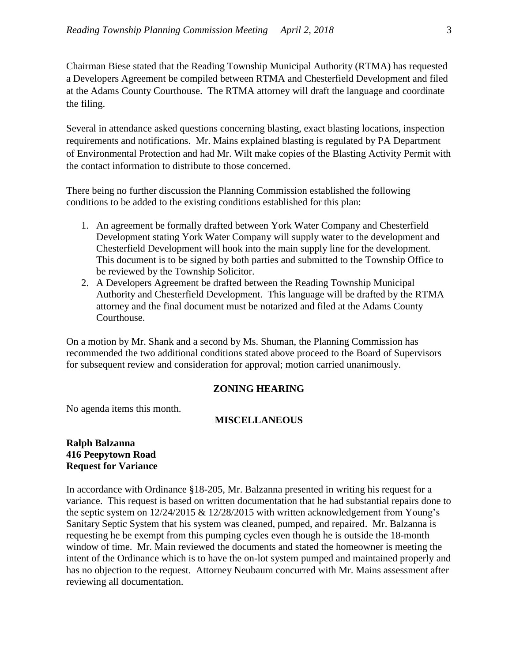Chairman Biese stated that the Reading Township Municipal Authority (RTMA) has requested a Developers Agreement be compiled between RTMA and Chesterfield Development and filed at the Adams County Courthouse. The RTMA attorney will draft the language and coordinate the filing.

Several in attendance asked questions concerning blasting, exact blasting locations, inspection requirements and notifications. Mr. Mains explained blasting is regulated by PA Department of Environmental Protection and had Mr. Wilt make copies of the Blasting Activity Permit with the contact information to distribute to those concerned.

There being no further discussion the Planning Commission established the following conditions to be added to the existing conditions established for this plan:

- 1. An agreement be formally drafted between York Water Company and Chesterfield Development stating York Water Company will supply water to the development and Chesterfield Development will hook into the main supply line for the development. This document is to be signed by both parties and submitted to the Township Office to be reviewed by the Township Solicitor.
- 2. A Developers Agreement be drafted between the Reading Township Municipal Authority and Chesterfield Development. This language will be drafted by the RTMA attorney and the final document must be notarized and filed at the Adams County Courthouse.

On a motion by Mr. Shank and a second by Ms. Shuman, the Planning Commission has recommended the two additional conditions stated above proceed to the Board of Supervisors for subsequent review and consideration for approval; motion carried unanimously.

## **ZONING HEARING**

No agenda items this month.

## **MISCELLANEOUS**

## **Ralph Balzanna 416 Peepytown Road Request for Variance**

In accordance with Ordinance §18-205, Mr. Balzanna presented in writing his request for a variance. This request is based on written documentation that he had substantial repairs done to the septic system on  $12/24/2015 \& 12/28/2015$  with written acknowledgement from Young's Sanitary Septic System that his system was cleaned, pumped, and repaired. Mr. Balzanna is requesting he be exempt from this pumping cycles even though he is outside the 18-month window of time. Mr. Main reviewed the documents and stated the homeowner is meeting the intent of the Ordinance which is to have the on-lot system pumped and maintained properly and has no objection to the request. Attorney Neubaum concurred with Mr. Mains assessment after reviewing all documentation.